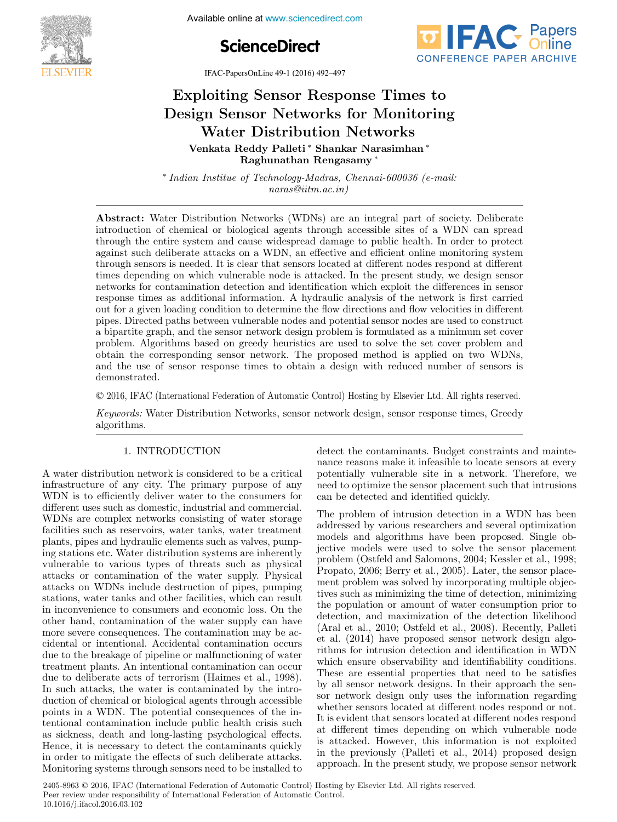

**ScienceDirect**



IFAC-PapersOnLine  $49-1$  (2016)  $492-497$ 

#### Exploiting Sensor Response Times to Design Sensor Networks for Monitoring Water Distribution Networks Water Distribution Networks Venkata Reddy Palleti ∗ Shankar Narasimhan ∗ Venkata Reddy Palleti ∗ Shankar Narasimhan ∗ Exploiting Sensor Response Times to Design Sensor Response Three to Exploiting Sensor Response Times to Design Sensor Networks for Monitoring Water Distribution Networks

Venkata Reddy Palleti ∗ Shankar Narasimhan<br>∗ Ragbunathan Rengasamu\* Raghunathan Rengasamy ∗ Raghunathan Rengasamy ∗ Raghunathan Rengasamy ∗ Venkata Reddy Palleti ∗ Shankar Narasimhan ∗

 $naras@iitm.ac.in)$ naras@iitm.ac.in) ∗ Indian Institue of Technology-Madras, Chennai-600036 (e-mail: ∗ Indian Institue of Technology-Madras, Chennai-600036 (e-mail:  $R$  $u_0 \propto u_1 u_2 \propto u_3$ 

naras ang pangalang natanggal na kalalang na kalalang na kalalang na kalalang na kalalang na kalalang na kalal<br>Tanggal na kalalang na kalalang na kalalang na kalalang na kalalang na kalalang na kalalang na kalalang na kal

introduction of chemical or biological agents through accessible sites of a WDN can spread through the entire system and cause widespread damage to public health. In order to protect against such deliberate attacks on a WDN, an effective and efficient online monitoring system discussed in the actual of a widely, and effective and efficient online monitoring system<br>through sensors is needed. It is clear that sensors located at different nodes respond at different timough sensors is needed. It is treat that sensors located at different hours respond at different<br>times depending on which vulnerable node is attacked. In the present study, we design sensor example intervention of the state of the differences in sensor<br>networks for contamination detection and identification which exploit the differences in sensor response times as additional information. A hydraulic analysis of the network is first carried out for a given loading condition to determine the flow directions and flow velocities in different pipes. Directed paths between vulnerable nodes and potential sensor nodes are used to construct pipes. Directed paths between vulnerable houes and potential sensor houes are used to construct<br>a bipartite graph, and the sensor network design problem is formulated as a minimum set cover a organize graph, and the sensor network design problem is formulated as a minimum set cover<br>problem. Algorithms based on greedy heuristics are used to solve the set cover problem and obtain the corresponding sensor network. The proposed method is applied on two WDNs, and the use of sensor response times to obtain a design with reduced number of sensors is  $d$  demonstrated. Abstract: Water Distribution Networks (WDNs) are an integral part of society. Deliberate demonstrated. demonstrated. and the use of sensor response times to obtain a design with reduced number of sensors is  $\mu$  and the corresponding set corresponding to solve the set cover problem and the set cover problem and  $\mu$  and  $\mu$  and  $\mu$  and  $\mu$  and  $\mu$  and  $\mu$  and  $\mu$  and  $\mu$  and  $\mu$  and  $\mu$  and  $\mu$  and  $\mu$  and  $\mu$  an obtain the corresponding sensor network. The proposed method is applied method is applied on two WDNs, and two WDNs, and two WDNs, and two WDNs, and two WDNs, and two WDNs, and two WDNs, and two WDNs, and two WDNs, and two  $\alpha$  definitions to a design with reduced number of sensors is  $\alpha$ 

© 2016, IFAC (International Federation of Automatic Control) Hosting by Elsevier Ltd. All rights reserved.  $\odot$  2016, IFAC (International Federation of Automatic Control) Hosting by Elsevier Ltd. All rights reserved.

Keywords: Water Distribution Networks, sensor network design, sensor response times, Greedy algorithms. algorithms. **Reywords:** Water Distribution Networks, sensor network design, sensor response times, Greedy algorithms.

#### 1. INTRODUCTION 1. INTRODUCTION 1. International control of the control of the control of the control of the control of the control of the con<br>International control of the control of the control of the control of the control of the control of the control 1. INTRODUCTION

A water distribution network is considered to be a critical A water distribution network is considered to be a critical<br>infrastructure of any city. The primary purpose of any minastructure of any city. The primary purpose of any<br>WDN is to efficiently deliver water to the consumers for WDN is to emclembly denver water to the consumers for different uses such as domestic, industrial and commercial. unerent uses such as domestic, muustrial and commercial.<br>WDNs are complex networks consisting of water storage w Divis are complex networks consisting or water storage facilities such as reservoirs, water tanks, water treatment ractifies such as reservoirs, water tains, water treatment<br>plants, pipes and hydraulic elements such as valves, pumping stations etc. Water distribution systems are inherently ing stations etc. water distribution systems are innerently<br>vulnerable to various types of threats such as physical vumerable to various types of threats such as physical attacks or contamination of the water supply. Physical attacks of contamination of the water supply. I hysical<br>attacks on WDNs include destruction of pipes, pumping stations, water tanks and other facilities, which can result<br>in incrementions to communicate the communication  $Q_{\text{in}}$  the in inconvenience to consumers and economic loss. On the m inconvenience to consumers and economic loss. On the other hand, contamination of the water supply can have more severe consequences. The contamination may be acmore severe consequences. The contamination may be accidental or intentional. Accidental contamination occurs due to the breakage of pipeline or malfunctioning of water due to the breakage of pipenne or manunctioning or water<br>treatment plants. An intentional contamination can occur In such a the multiplication of terrorism (Haimes et al., 1998). In such attacks, the water is contaminated by the introduction of chemical or biological agents through accessible<br>  $\frac{1}{2}$ quetion of chemical of biological agents through accessible<br>points in a WDN. The potential consequences of the inpoints in a WDN. The potential consequences of the intentional contamination include public health crisis such tentional contamination include public heath crisis such<br>as sickness, death and long-lasting psychological effects. Hence, it is necessary to detect the contaminants quickly mence, it is necessary to detect the contaminants quickly<br>in order to mitigate the effects of such deliberate attacks. Monitoring systems through sensors need to be installed to Monitoring systems through sensors need to be installed to plants, pipes and hydraulic elements such as valves, pump-<br>in a stations at a Water distribution systems are inherently stations, water tanks and other facilities, which can result attacks on WDNs include destruction of pipes, pumping other hand, contamination of the water supply can have In such attacks, the water is contaminated by the intro-due to deliberate acts of terrorism (Haimes et al., 1998). as sickness, death and long-lasting psychological effects. A water distribution network is considered to be a critical infrastructure of any city. The primary purpose of any WDN is to efficiently deliver water to the consumers for different uses such as domestic, industrial and commercial. WDNs are complex networks consisting of water storage facilities such as reservoirs, water tanks, water treatment vulnerable to various types of threats such as physical attacks or contamination of the water supply. Physical cidental or intentional. Accidental contamination occurs due to the breakage of pipeline or malfunctioning of water treatment plants. An intentional contamination can occur points in a WDN. The potential consequences of the intentional contamination include public health crisis such in order to mitigate the effects of such deliberate attacks. Monitoring systems through sensors need to be installed to detect the contaminants. Budget constraints and maintenance reasons make it infeasible to locate sensors at every nance reasons make it inteasible to locate sensors at every<br>potentially vulnerable site in a network. Therefore, we potentially vulnerable site in a hetwork. Therefore, we<br>need to optimize the sensor placement such that intrusions can be detected and identified quickly. need to optimize the sensor placement. detect the contaminants. Budget constraints and maintenance reasons make it infeasible to locate sensors at every potentially vulnerable site in a network. Therefore, we need to optimize the sensor placement such that intrusions can be detected and identified quickly.

detect the contaminants. Budget constraints and mainte-

The problem of intrusion detection in a WDN has been addressed by various researchers and several optimization addressed by various researchers and several optimization<br>models and algorithms have been proposed. Single obmodels and algorithmis have been proposed. Single objective models were used to solve the sensor placement problem (Ostfeld and Salomons, 2004; Kessler et al., 1998; Propato, 2006; Berry et al., 2005). Later, the sensor place-problem (Ostfeld and Salomons, 2004; Kessler et al., 1998; problem (Ostleid and Balomons, 2004, Ressier et al., 1990,<br>Propato, 2006; Berry et al., 2005). Later, the sensor place-1 ropato, 2000, Berry et al., 2009). Later, the sensor place-<br>ment problem was solved by incorporating multiple objecment problem was solved by incorporating multiple objectives such as minimizing the time of detection, minimizing the population or amount of water consumption prior to Interpopulation of amount of water consumption prior to<br>detection, and maximization of the detection likelihood detection, and maximization of the detection intennood<br>(Aral et al., 2010; Ostfeld et al., 2008). Recently, Palleti (Arai et al., 2010, Ostiend et al., 2006). Recentry, I allen<br>et al. (2014) have proposed sensor network design algoet al. (2014) have proposed sensor hetwork design algorithms for intrusion detection and identification in WDN which ensure observability and identifiability conditions. These are essential properties that need to be satisfies which ensure observability and identifiability conditions. These are essential properties that need to be satisfies These are essential properties that need to be satisfies<br>by all sensor network designs. In their approach the senby an sensor network designs. In their approach the sensor network design only uses the information regarding sor hetwork design omy uses the miormation regarding<br>whether sensors located at different nodes respond or not. whether sensors located at different nodes respond or not.<br>It is evident that sensors located at different nodes respond It is evident times depending on which vulnerable node<br>at different times depending on which vulnerable node at unterent times depending on which vulnerable hodes is attacked. However, this information is not exploited in the previously (Palleti et al., 2014) proposed design<br>names at Lie the proposed to the proposed contract the proposed contract of the proposed contract of the state of the state of the state of the state of the state o approach. In the present study, we propose sensor network approach. In the present study, we propose sensor network The problem of intrusion detection in a WDN has been the population or amount of water consumption prior to which ensure observability and identifiability conditions. in the previously (Palleti et al., 2014) proposed design is attacked. However, this information is not exploited models and algorithms have been proposed. Single objective models were used to solve the sensor placement problem (Ostfeld and Salomons, 2004; Ressler et al., 1998; Propato, 2006; Berry et al., 2005). Later, the sensor placement problem was solved by incorporating multiple objecdetection, and maximization of the detection likelihood (Aral et al., 2010; Ostfeld et al., 2008). Recently, Palleti et al. (2014) have proposed sensor network design algorithms for intrusion detection and identification in WDN by all sensor network designs. In their approach the sensor network design only uses the information regarding whether sensors located at different nodes respond or not. It is evident that sensors located at different nodes respond at different times depending on which vulnerable node

2405-8963 © 2016, IFAC (International Federation of Automatic Control) Hosting by Elsevier Ltd. All rights reserved. Peer review under responsibility of International Federation of Automatic Control.<br>
10.1016 is the clear of 2016 02:100 10.1016/j.ifacol.2016.03.102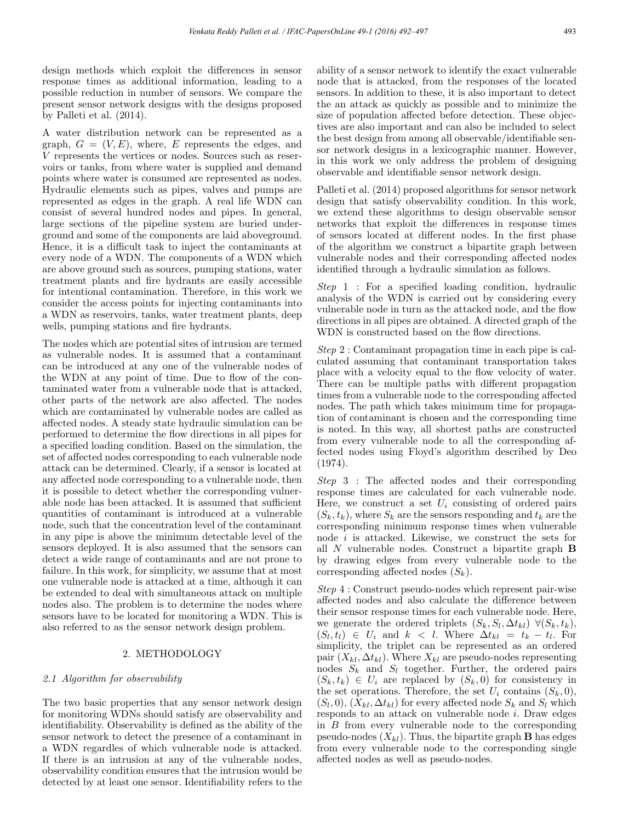design methods which exploit the differences in sensor response times as additional information, leading to a possible reduction in number of sensors. We compare the present sensor network designs with the designs proposed by Palleti et al. (2014).

A water distribution network can be represented as a graph,  $G = (V, E)$ , where, E represents the edges, and V represents the vertices or nodes. Sources such as reservoirs or tanks, from where water is supplied and demand points where water is consumed are represented as nodes. Hydraulic elements such as pipes, valves and pumps are represented as edges in the graph. A real life WDN can consist of several hundred nodes and pipes. In general, large sections of the pipeline system are buried underground and some of the components are laid aboveground. Hence, it is a difficult task to inject the contaminants at every node of a WDN. The components of a WDN which are above ground such as sources, pumping stations, water treatment plants and fire hydrants are easily accessible for intentional contamination. Therefore, in this work we consider the access points for injecting contaminants into a WDN as reservoirs, tanks, water treatment plants, deep wells, pumping stations and fire hydrants.

The nodes which are potential sites of intrusion are termed as vulnerable nodes. It is assumed that a contaminant can be introduced at any one of the vulnerable nodes of the WDN at any point of time. Due to flow of the contaminated water from a vulnerable node that is attacked, other parts of the network are also affected. The nodes which are contaminated by vulnerable nodes are called as affected nodes. A steady state hydraulic simulation can be performed to determine the flow directions in all pipes for a specified loading condition. Based on the simulation, the set of affected nodes corresponding to each vulnerable node attack can be determined. Clearly, if a sensor is located at any affected node corresponding to a vulnerable node, then it is possible to detect whether the corresponding vulnerable node has been attacked. It is assumed that sufficient quantities of contaminant is introduced at a vulnerable node, such that the concentration level of the contaminant in any pipe is above the minimum detectable level of the sensors deployed. It is also assumed that the sensors can detect a wide range of contaminants and are not prone to failure. In this work, for simplicity, we assume that at most one vulnerable node is attacked at a time, although it can be extended to deal with simultaneous attack on multiple nodes also. The problem is to determine the nodes where sensors have to be located for monitoring a WDN. This is also referred to as the sensor network design problem.

### 2. METHODOLOGY

### 2.1 Algorithm for observability

The two basic properties that any sensor network design for monitoring WDNs should satisfy are observability and identifiability. Observability is defined as the ability of the sensor network to detect the presence of a contaminant in a WDN regardles of which vulnerable node is attacked. If there is an intrusion at any of the vulnerable nodes, observability condition ensures that the intrusion would be detected by at least one sensor. Identifiability refers to the

ability of a sensor network to identify the exact vulnerable node that is attacked, from the responses of the located sensors. In addition to these, it is also important to detect the an attack as quickly as possible and to minimize the size of population affected before detection. These objectives are also important and can also be included to select the best design from among all observable/identifiable sensor network designs in a lexicographic manner. However, in this work we only address the problem of designing observable and identifiable sensor network design.

Palleti et al. (2014) proposed algorithms for sensor network design that satisfy observability condition. In this work, we extend these algorithms to design observable sensor networks that exploit the differences in response times of sensors located at different nodes. In the first phase of the algorithm we construct a bipartite graph between vulnerable nodes and their corresponding affected nodes identified through a hydraulic simulation as follows.

Step 1 : For a specified loading condition, hydraulic analysis of the WDN is carried out by considering every vulnerable node in turn as the attacked node, and the flow directions in all pipes are obtained. A directed graph of the WDN is constructed based on the flow directions.

Step 2 : Contaminant propagation time in each pipe is calculated assuming that contaminant transportation takes place with a velocity equal to the flow velocity of water. There can be multiple paths with different propagation times from a vulnerable node to the corresponding affected nodes. The path which takes minimum time for propagation of contaminant is chosen and the corresponding time is noted. In this way, all shortest paths are constructed from every vulnerable node to all the corresponding affected nodes using Floyd's algorithm described by Deo (1974).

Step 3 : The affected nodes and their corresponding response times are calculated for each vulnerable node. Here, we construct a set  $U_i$  consisting of ordered pairs  $(S_k, t_k)$ , where  $S_k$  are the sensors responding and  $t_k$  are the corresponding minimum response times when vulnerable node i is attacked. Likewise, we construct the sets for all N vulnerable nodes. Construct a bipartite graph B by drawing edges from every vulnerable node to the corresponding affected nodes  $(S_k)$ .

Step 4 : Construct pseudo-nodes which represent pair-wise affected nodes and also calculate the difference between their sensor response times for each vulnerable node. Here, we generate the ordered triplets  $(S_k, S_l, \Delta t_{kl}) \ \forall (S_k, t_k),$  $(S_l, t_l) \in U_i$  and  $k < l$ . Where  $\Delta t_{kl} = t_k - t_l$ . For simplicity, the triplet can be represented as an ordered pair  $(X_{kl}, \Delta t_{kl})$ . Where  $X_{kl}$  are pseudo-nodes representing nodes  $S_k$  and  $S_l$  together. Further, the ordered pairs  $(S_k, t_k) \in U_i$  are replaced by  $(S_k, 0)$  for consistency in the set operations. Therefore, the set  $U_i$  contains  $(S_k, 0)$ ,  $(S_l, 0), (X_{kl}, \Delta t_{kl})$  for every affected node  $S_k$  and  $S_l$  which responds to an attack on vulnerable node i. Draw edges in B from every vulnerable node to the corresponding pseudo-nodes  $(X_{kl})$ . Thus, the bipartite graph **B** has edges from every vulnerable node to the corresponding single affected nodes as well as pseudo-nodes.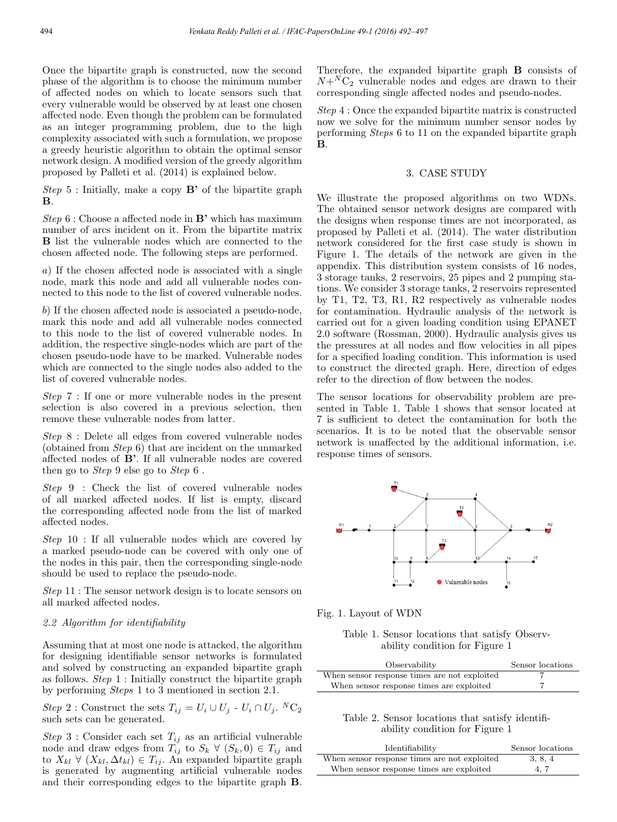Once the bipartite graph is constructed, now the second phase of the algorithm is to choose the minimum number of affected nodes on which to locate sensors such that every vulnerable would be observed by at least one chosen affected node. Even though the problem can be formulated as an integer programming problem, due to the high complexity associated with such a formulation, we propose a greedy heuristic algorithm to obtain the optimal sensor network design. A modified version of the greedy algorithm proposed by Palleti et al. (2014) is explained below.

Step 5 : Initially, make a copy  $\mathbf{B}'$  of the bipartite graph B.

Step 6 : Choose a affected node in  $\mathbf{B}'$  which has maximum number of arcs incident on it. From the bipartite matrix B list the vulnerable nodes which are connected to the chosen affected node. The following steps are performed.

a) If the chosen affected node is associated with a single node, mark this node and add all vulnerable nodes connected to this node to the list of covered vulnerable nodes.

b) If the chosen affected node is associated a pseudo-node, mark this node and add all vulnerable nodes connected to this node to the list of covered vulnerable nodes. In addition, the respective single-nodes which are part of the chosen pseudo-node have to be marked. Vulnerable nodes which are connected to the single nodes also added to the list of covered vulnerable nodes.

Step 7 : If one or more vulnerable nodes in the present selection is also covered in a previous selection, then remove these vulnerable nodes from latter.

Step 8 : Delete all edges from covered vulnerable nodes (obtained from Step 6) that are incident on the unmarked affected nodes of B'. If all vulnerable nodes are covered then go to Step 9 else go to Step 6 .

Step 9 : Check the list of covered vulnerable nodes of all marked affected nodes. If list is empty, discard the corresponding affected node from the list of marked affected nodes.

Step 10 : If all vulnerable nodes which are covered by a marked pseudo-node can be covered with only one of the nodes in this pair, then the corresponding single-node should be used to replace the pseudo-node.

Step 11 : The sensor network design is to locate sensors on all marked affected nodes.

## 2.2 Algorithm for identifiability

Assuming that at most one node is attacked, the algorithm for designing identifiable sensor networks is formulated and solved by constructing an expanded bipartite graph as follows. Step 1 : Initially construct the bipartite graph by performing Steps 1 to 3 mentioned in section 2.1.

Step 2 : Construct the sets  $T_{ij} = U_i \cup U_j$  -  $U_i \cap U_j$ . <sup>N</sup>C<sub>2</sub> such sets can be generated.

Step 3 : Consider each set  $T_{ij}$  as an artificial vulnerable node and draw edges from  $T_{ij}$  to  $S_k \forall (S_k, 0) \in T_{ij}$  and to  $X_{kl}$   $\forall$   $(X_{kl}, \Delta t_{kl}) \in T_{ij}$ . An expanded bipartite graph is generated by augmenting artificial vulnerable nodes and their corresponding edges to the bipartite graph B.

Therefore, the expanded bipartite graph B consists of  $N + {}^{N}C_2$  vulnerable nodes and edges are drawn to their corresponding single affected nodes and pseudo-nodes.

Step 4 : Once the expanded bipartite matrix is constructed now we solve for the minimum number sensor nodes by performing Steps 6 to 11 on the expanded bipartite graph B.

# 3. CASE STUDY

We illustrate the proposed algorithms on two WDNs. The obtained sensor network designs are compared with the designs when response times are not incorporated, as proposed by Palleti et al. (2014). The water distribution network considered for the first case study is shown in Figure 1. The details of the network are given in the appendix. This distribution system consists of 16 nodes, 3 storage tanks, 2 reservoirs, 25 pipes and 2 pumping stations. We consider 3 storage tanks, 2 reservoirs represented by T1, T2, T3, R1, R2 respectively as vulnerable nodes for contamination. Hydraulic analysis of the network is carried out for a given loading condition using EPANET 2.0 software (Rossman, 2000). Hydraulic analysis gives us the pressures at all nodes and flow velocities in all pipes for a specified loading condition. This information is used to construct the directed graph. Here, direction of edges refer to the direction of flow between the nodes.

The sensor locations for observability problem are presented in Table 1. Table 1 shows that sensor located at 7 is sufficient to detect the contamination for both the scenarios. It is to be noted that the observable sensor network is unaffected by the additional information, i.e. response times of sensors.



Fig. 1. Layout of WDN

Table 1. Sensor locations that satisfy Observability condition for Figure 1

| Observability                                | Sensor locations |
|----------------------------------------------|------------------|
| When sensor response times are not exploited |                  |
| When sensor response times are exploited     |                  |

Table 2. Sensor locations that satisfy identifiability condition for Figure 1

| Identifiability                              | Sensor locations |
|----------------------------------------------|------------------|
| When sensor response times are not exploited | 3, 8, 4          |
| When sensor response times are exploited     | 4.7              |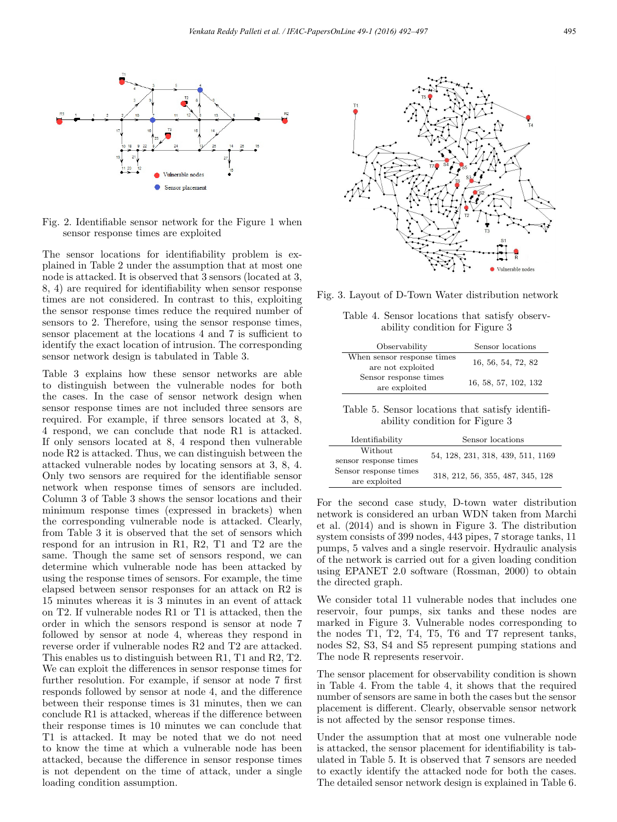

Fig. 2. Identifiable sensor network for the Figure 1 when sensor response times are exploited

The sensor locations for identifiability problem is explained in Table 2 under the assumption that at most one node is attacked. It is observed that 3 sensors (located at 3, 8, 4) are required for identifiability when sensor response times are not considered. In contrast to this, exploiting the sensor response times reduce the required number of sensors to 2. Therefore, using the sensor response times, sensor placement at the locations 4 and 7 is sufficient to identify the exact location of intrusion. The corresponding sensor network design is tabulated in Table 3.

Table 3 explains how these sensor networks are able to distinguish between the vulnerable nodes for both the cases. In the case of sensor network design when sensor response times are not included three sensors are required. For example, if three sensors located at 3, 8, 4 respond, we can conclude that node R1 is attacked. If only sensors located at 8, 4 respond then vulnerable node R2 is attacked. Thus, we can distinguish between the attacked vulnerable nodes by locating sensors at 3, 8, 4. Only two sensors are required for the identifiable sensor network when response times of sensors are included. Column 3 of Table 3 shows the sensor locations and their minimum response times (expressed in brackets) when the corresponding vulnerable node is attacked. Clearly, from Table 3 it is observed that the set of sensors which respond for an intrusion in R1, R2, T1 and T2 are the same. Though the same set of sensors respond, we can determine which vulnerable node has been attacked by using the response times of sensors. For example, the time elapsed between sensor responses for an attack on R2 is 15 minutes whereas it is 3 minutes in an event of attack on T2. If vulnerable nodes R1 or T1 is attacked, then the order in which the sensors respond is sensor at node 7 followed by sensor at node 4, whereas they respond in reverse order if vulnerable nodes R2 and T2 are attacked. This enables us to distinguish between R1, T1 and R2, T2. We can exploit the differences in sensor response times for further resolution. For example, if sensor at node 7 first responds followed by sensor at node 4, and the difference between their response times is 31 minutes, then we can conclude R1 is attacked, whereas if the difference between their response times is 10 minutes we can conclude that T1 is attacked. It may be noted that we do not need to know the time at which a vulnerable node has been attacked, because the difference in sensor response times is not dependent on the time of attack, under a single loading condition assumption.



Fig. 3. Layout of D-Town Water distribution network

Table 4. Sensor locations that satisfy observability condition for Figure 3

| Observability                                   | Sensor locations     |
|-------------------------------------------------|----------------------|
| When sensor response times<br>are not exploited | 16, 56, 54, 72, 82   |
| Sensor response times<br>are exploited          | 16, 58, 57, 102, 132 |

Table 5. Sensor locations that satisfy identifiability condition for Figure 3

| Identifiability                        | Sensor locations                  |
|----------------------------------------|-----------------------------------|
| Without<br>sensor response times       | 54, 128, 231, 318, 439, 511, 1169 |
| Sensor response times<br>are exploited | 318, 212, 56, 355, 487, 345, 128  |

For the second case study, D-town water distribution network is considered an urban WDN taken from Marchi et al. (2014) and is shown in Figure 3. The distribution system consists of 399 nodes, 443 pipes, 7 storage tanks, 11 pumps, 5 valves and a single reservoir. Hydraulic analysis of the network is carried out for a given loading condition using EPANET 2.0 software (Rossman, 2000) to obtain the directed graph.

We consider total 11 vulnerable nodes that includes one reservoir, four pumps, six tanks and these nodes are marked in Figure 3. Vulnerable nodes corresponding to the nodes T1, T2, T4, T5, T6 and T7 represent tanks, nodes S2, S3, S4 and S5 represent pumping stations and The node R represents reservoir.

The sensor placement for observability condition is shown in Table 4. From the table 4, it shows that the required number of sensors are same in both the cases but the sensor placement is different. Clearly, observable sensor network is not affected by the sensor response times.

Under the assumption that at most one vulnerable node is attacked, the sensor placement for identifiability is tabulated in Table 5. It is observed that 7 sensors are needed to exactly identify the attacked node for both the cases. The detailed sensor network design is explained in Table 6.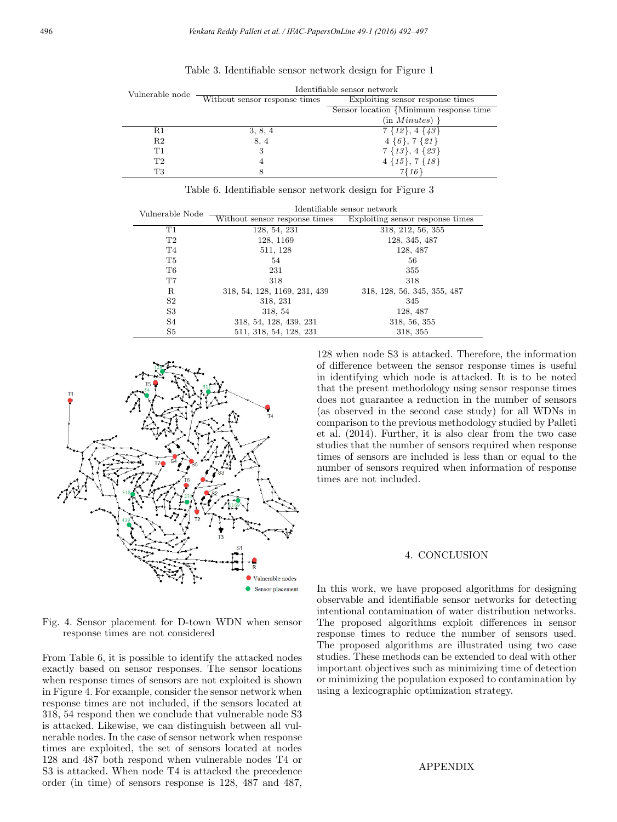| Table 3. Identifiable sensor network design for Figure 1 |  |  |  |
|----------------------------------------------------------|--|--|--|
|----------------------------------------------------------|--|--|--|

| Vulnerable node | Identifiable sensor network   |                                        |  |  |
|-----------------|-------------------------------|----------------------------------------|--|--|
|                 | Without sensor response times | Exploiting sensor response times       |  |  |
|                 |                               | Sensor location {Minimum response time |  |  |
|                 |                               | $(in$ <i>Minutes</i> $)$ }             |  |  |
| R1              | 3, 8, 4                       | $7\{12\},\,4\{43\}$                    |  |  |
| R2              | 8, 4                          | $4\{6\}, 7\{21\}$                      |  |  |
| Τ1              | 3                             | $7\{13\},\,4\{23\}$                    |  |  |
| Т2              |                               | $4\{15\}, 7\{18\}$                     |  |  |
| T3              | x                             | $7{16}$                                |  |  |

Table 6. Identifiable sensor network design for Figure 3

| Vulnerable Node |                               | Identifiable sensor network      |  |
|-----------------|-------------------------------|----------------------------------|--|
|                 | Without sensor response times | Exploiting sensor response times |  |
| T1              | 128, 54, 231                  | 318, 212, 56, 355                |  |
| T <sub>2</sub>  | 128, 1169                     | 128, 345, 487                    |  |
| T <sub>4</sub>  | 511, 128                      | 128, 487                         |  |
| T5              | 54                            | 56                               |  |
| T6              | 231                           | 355                              |  |
| T7              | 318                           | 318                              |  |
| R               | 318, 54, 128, 1169, 231, 439  | 318, 128, 56, 345, 355, 487      |  |
| S <sub>2</sub>  | 318, 231                      | 345                              |  |
| S3              | 318, 54                       | 128, 487                         |  |
| S4              | 318, 54, 128, 439, 231        | 318, 56, 355                     |  |
| S <sub>5</sub>  | 511, 318, 54, 128, 231        | 318, 355                         |  |



Fig. 4. Sensor placement for D-town WDN when sensor response times are not considered

From Table 6, it is possible to identify the attacked nodes exactly based on sensor responses. The sensor locations when response times of sensors are not exploited is shown in Figure 4. For example, consider the sensor network when response times are not included, if the sensors located at 318, 54 respond then we conclude that vulnerable node S3 is attacked. Likewise, we can distinguish between all vulnerable nodes. In the case of sensor network when response times are exploited, the set of sensors located at nodes 128 and 487 both respond when vulnerable nodes T4 or S3 is attacked. When node T4 is attacked the precedence order (in time) of sensors response is 128, 487 and 487,

128 when node S3 is attacked. Therefore, the information of difference between the sensor response times is useful in identifying which node is attacked. It is to be noted that the present methodology using sensor response times does not guarantee a reduction in the number of sensors (as observed in the second case study) for all WDNs in comparison to the previous methodology studied by Palleti et al. (2014). Further, it is also clear from the two case studies that the number of sensors required when response times of sensors are included is less than or equal to the number of sensors required when information of response times are not included.

#### 4. CONCLUSION

In this work, we have proposed algorithms for designing observable and identifiable sensor networks for detecting intentional contamination of water distribution networks. The proposed algorithms exploit differences in sensor response times to reduce the number of sensors used. The proposed algorithms are illustrated using two case studies. These methods can be extended to deal with other important objectives such as minimizing time of detection or minimizing the population exposed to contamination by using a lexicographic optimization strategy.

## APPENDIX